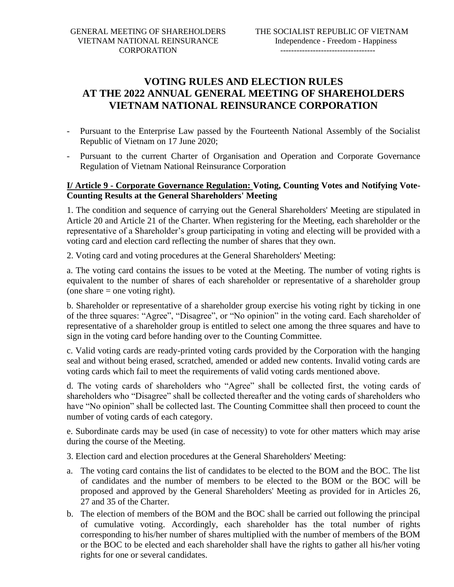## **VOTING RULES AND ELECTION RULES AT THE 2022 ANNUAL GENERAL MEETING OF SHAREHOLDERS VIETNAM NATIONAL REINSURANCE CORPORATION**

- Pursuant to the Enterprise Law passed by the Fourteenth National Assembly of the Socialist Republic of Vietnam on 17 June 2020;
- Pursuant to the current Charter of Organisation and Operation and Corporate Governance Regulation of Vietnam National Reinsurance Corporation

## **I/ Article 9 - Corporate Governance Regulation: Voting, Counting Votes and Notifying Vote-Counting Results at the General Shareholders' Meeting**

1. The condition and sequence of carrying out the General Shareholders' Meeting are stipulated in Article 20 and Article 21 of the Charter. When registering for the Meeting, each shareholder or the representative of a Shareholder's group participating in voting and electing will be provided with a voting card and election card reflecting the number of shares that they own.

2. Voting card and voting procedures at the General Shareholders' Meeting:

a. The voting card contains the issues to be voted at the Meeting. The number of voting rights is equivalent to the number of shares of each shareholder or representative of a shareholder group (one share  $=$  one voting right).

b. Shareholder or representative of a shareholder group exercise his voting right by ticking in one of the three squares: "Agree", "Disagree", or "No opinion" in the voting card. Each shareholder of representative of a shareholder group is entitled to select one among the three squares and have to sign in the voting card before handing over to the Counting Committee.

c. Valid voting cards are ready-printed voting cards provided by the Corporation with the hanging seal and without being erased, scratched, amended or added new contents. Invalid voting cards are voting cards which fail to meet the requirements of valid voting cards mentioned above.

d. The voting cards of shareholders who "Agree" shall be collected first, the voting cards of shareholders who "Disagree" shall be collected thereafter and the voting cards of shareholders who have "No opinion" shall be collected last. The Counting Committee shall then proceed to count the number of voting cards of each category.

e. Subordinate cards may be used (in case of necessity) to vote for other matters which may arise during the course of the Meeting.

3. Election card and election procedures at the General Shareholders' Meeting:

- a. The voting card contains the list of candidates to be elected to the BOM and the BOC. The list of candidates and the number of members to be elected to the BOM or the BOC will be proposed and approved by the General Shareholders' Meeting as provided for in Articles 26, 27 and 35 of the Charter.
- b. The election of members of the BOM and the BOC shall be carried out following the principal of cumulative voting. Accordingly, each shareholder has the total number of rights corresponding to his/her number of shares multiplied with the number of members of the BOM or the BOC to be elected and each shareholder shall have the rights to gather all his/her voting rights for one or several candidates.